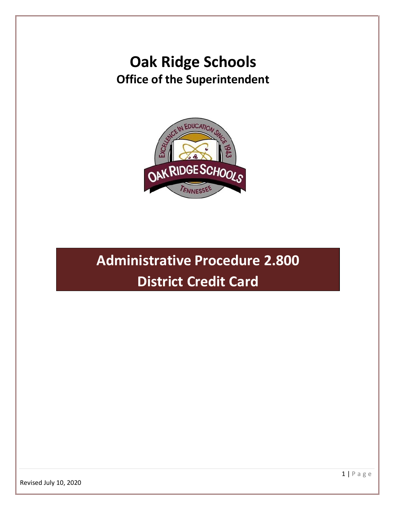## **Oak Ridge Schools Office of the Superintendent**



# **Administrative Procedure 2.800 District Credit Card**

1 | P a g e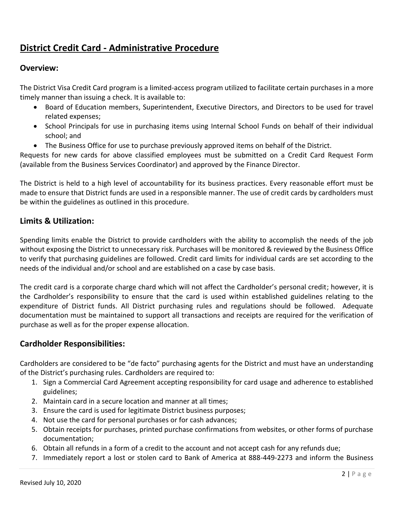### **District Credit Card - Administrative Procedure**

#### **Overview:**

The District Visa Credit Card program is a limited-access program utilized to facilitate certain purchases in a more timely manner than issuing a check. It is available to:

- Board of Education members, Superintendent, Executive Directors, and Directors to be used for travel related expenses;
- School Principals for use in purchasing items using Internal School Funds on behalf of their individual school; and
- The Business Office for use to purchase previously approved items on behalf of the District.

Requests for new cards for above classified employees must be submitted on a Credit Card Request Form (available from the Business Services Coordinator) and approved by the Finance Director.

The District is held to a high level of accountability for its business practices. Every reasonable effort must be made to ensure that District funds are used in a responsible manner. The use of credit cards by cardholders must be within the guidelines as outlined in this procedure.

#### **Limits & Utilization:**

Spending limits enable the District to provide cardholders with the ability to accomplish the needs of the job without exposing the District to unnecessary risk. Purchases will be monitored & reviewed by the Business Office to verify that purchasing guidelines are followed. Credit card limits for individual cards are set according to the needs of the individual and/or school and are established on a case by case basis.

The credit card is a corporate charge chard which will not affect the Cardholder's personal credit; however, it is the Cardholder's responsibility to ensure that the card is used within established guidelines relating to the expenditure of District funds. All District purchasing rules and regulations should be followed. Adequate documentation must be maintained to support all transactions and receipts are required for the verification of purchase as well as for the proper expense allocation.

#### **Cardholder Responsibilities:**

Cardholders are considered to be "de facto" purchasing agents for the District and must have an understanding of the District's purchasing rules. Cardholders are required to:

- 1. Sign a Commercial Card Agreement accepting responsibility for card usage and adherence to established guidelines;
- 2. Maintain card in a secure location and manner at all times;
- 3. Ensure the card is used for legitimate District business purposes;
- 4. Not use the card for personal purchases or for cash advances;
- 5. Obtain receipts for purchases, printed purchase confirmations from websites, or other forms of purchase documentation;
- 6. Obtain all refunds in a form of a credit to the account and not accept cash for any refunds due;
- 7. Immediately report a lost or stolen card to Bank of America at 888-449-2273 and inform the Business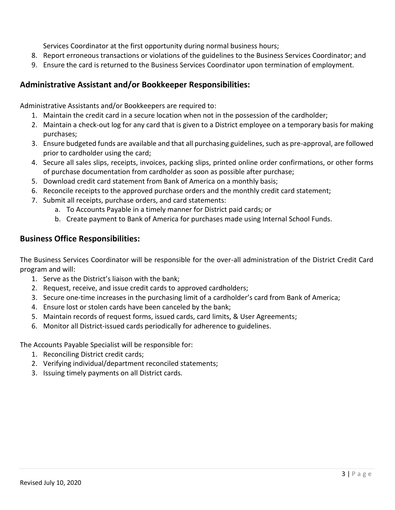Services Coordinator at the first opportunity during normal business hours;

- 8. Report erroneous transactions or violations of the guidelines to the Business Services Coordinator; and
- 9. Ensure the card is returned to the Business Services Coordinator upon termination of employment.

#### **Administrative Assistant and/or Bookkeeper Responsibilities:**

Administrative Assistants and/or Bookkeepers are required to:

- 1. Maintain the credit card in a secure location when not in the possession of the cardholder;
- 2. Maintain a check-out log for any card that is given to a District employee on a temporary basis for making purchases;
- 3. Ensure budgeted funds are available and that all purchasing guidelines, such as pre-approval, are followed prior to cardholder using the card;
- 4. Secure all sales slips, receipts, invoices, packing slips, printed online order confirmations, or other forms of purchase documentation from cardholder as soon as possible after purchase;
- 5. Download credit card statement from Bank of America on a monthly basis;
- 6. Reconcile receipts to the approved purchase orders and the monthly credit card statement;
- 7. Submit all receipts, purchase orders, and card statements:
	- a. To Accounts Payable in a timely manner for District paid cards; or
	- b. Create payment to Bank of America for purchases made using Internal School Funds.

#### **Business Office Responsibilities:**

The Business Services Coordinator will be responsible for the over-all administration of the District Credit Card program and will:

- 1. Serve as the District's liaison with the bank;
- 2. Request, receive, and issue credit cards to approved cardholders;
- 3. Secure one-time increases in the purchasing limit of a cardholder's card from Bank of America;
- 4. Ensure lost or stolen cards have been canceled by the bank;
- 5. Maintain records of request forms, issued cards, card limits, & User Agreements;
- 6. Monitor all District-issued cards periodically for adherence to guidelines.

The Accounts Payable Specialist will be responsible for:

- 1. Reconciling District credit cards;
- 2. Verifying individual/department reconciled statements;
- 3. Issuing timely payments on all District cards.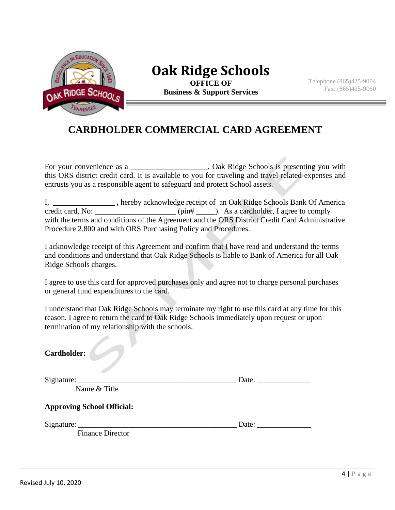

## **Oak Ridge Schools**

**OFFICE OF Business & Support Services** Telephone (865)425-9004 Fax: (865)425-9060

### **CARDHOLDER COMMERCIAL CARD AGREEMENT**

For your convenience as a \_\_\_\_\_\_\_\_\_\_\_\_\_\_\_\_\_\_\_, Oak Ridge Schools is presenting you with this ORS district credit card. It is available to you for traveling and travel-related expenses and entrusts you as a responsible agent to safeguard and protect School assets.

I, \_\_\_\_\_\_\_\_\_\_\_\_\_\_\_\_\_\_\_\_\_, hereby acknowledge receipt of an Oak Ridge Schools Bank Of America credit card, No: \_\_\_\_\_\_\_\_\_\_\_\_ (pin#  $\qquad$ ). As a cardholder. I agree to comply  $\epsilon$  (pin#  $\epsilon$ ). As a cardholder, I agree to comply with the terms and conditions of the Agreement and the ORS District Credit Card Administrative Procedure 2.800 and with ORS Purchasing Policy and Procedures.

I acknowledge receipt of this Agreement and confirm that I have read and understand the terms and conditions and understand that Oak Ridge Schools is liable to Bank of America for all Oak Ridge Schools charges.

I agree to use this card for approved purchases only and agree not to charge personal purchases or general fund expenditures to the card.

I understand that Oak Ridge Schools may terminate my right to use this card at any time for this reason. I agree to return the card to Oak Ridge Schools immediately upon request or upon termination of my relationship with the schools.

| Date: $\_\_$ |  |
|--------------|--|
|              |  |
|              |  |
| Date:        |  |
|              |  |
|              |  |